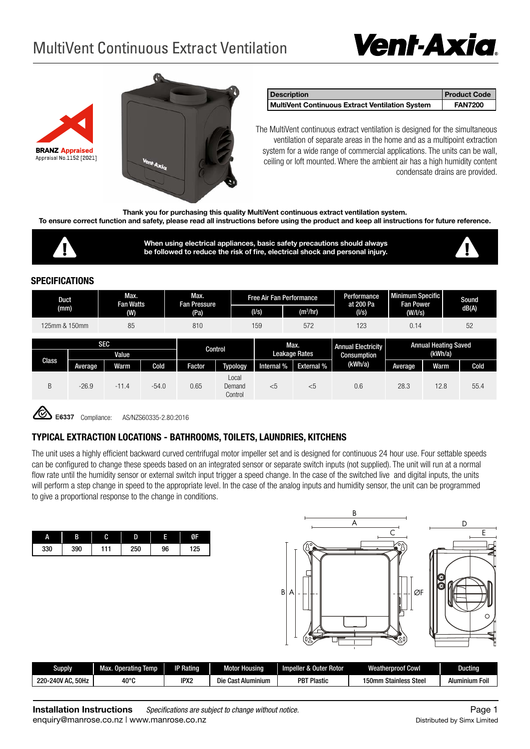# *Vent-Axia*

## MultiVent Continuous Extract Ventilation



| <b>Description</b>                              | <b>Product Code</b> |
|-------------------------------------------------|---------------------|
| MultiVent Continuous Extract Ventilation System | <b>FAN7200</b>      |

The MultiVent continuous extract ventilation is designed for the simultaneous ventilation of separate areas in the home and as a multipoint extraction system for a wide range of commercial applications. The units can be wall, ceiling or loft mounted. Where the ambient air has a high humidity content condensate drains are provided.

**Thank you for purchasing this quality MultiVent continuous extract ventilation system.**

**To ensure correct function and safety, please read all instructions before using the product and keep all instructions for future reference.** 



**When using electrical appliances, basic safety precautions should always be followed to reduce the risk of fire, electrical shock and personal injury.**



#### **SPECIFICATIONS**

| Max.<br>Duct<br><b>Fan Watts</b><br>(mm)<br>(W) |         |         | Max.<br><b>Fan Pressure</b><br>(Pa) |        | <b>Free Air Fan Performance</b><br>(1/s)<br>(m <sup>3</sup> /hr) |                                          | Performance<br>at 200 Pa<br>(1/s)      | Minimum Specific<br><b>Fan Power</b><br>(W/IS) |         | Sound<br>dB(A) |      |
|-------------------------------------------------|---------|---------|-------------------------------------|--------|------------------------------------------------------------------|------------------------------------------|----------------------------------------|------------------------------------------------|---------|----------------|------|
| 85<br>810<br>125mm & 150mm                      |         |         | 159<br>572                          |        |                                                                  | 123                                      | 52<br>0.14                             |                                                |         |                |      |
| <b>SEC</b><br>Value                             |         | Control |                                     |        | Max.<br>Leakage Rates                                            | <b>Annual Electricity</b><br>Consumption | <b>Annual Heating Saved</b><br>(kWh/a) |                                                |         |                |      |
| Class                                           | Average | Warm    | Cold                                | Factor | <b>Typology</b>                                                  | Internal %                               | <b>External %</b>                      | (kWh/a)                                        | Average | Warm           | Cold |
| B                                               | $-26.9$ | $-11.4$ | $-54.0$                             | 0.65   | Local<br>Demand<br>Control                                       | $<$ 5                                    | $<$ 5                                  | 0.6                                            | 28.3    | 12.8           | 55.4 |

Compliance: AS/NZS60335-2.80:2016

#### **TYPICAL EXTRACTION LOCATIONS - BATHROOMS, TOILETS, LAUNDRIES, KITCHENS**

The unit uses a highly efficient backward curved centrifugal motor impeller set and is designed for continuous 24 hour use. Four settable speeds can be configured to change these speeds based on an integrated sensor or separate switch inputs (not supplied). The unit will run at a normal flow rate until the humidity sensor or external switch input trigger a speed change. In the case of the switched live and digital inputs, the units will perform a step change in speed to the appropriate level. In the case of the analog inputs and humidity sensor, the unit can be programmed to give a proportional response to the change in conditions.

| А   | В   | r<br>U | D   |    | г   |
|-----|-----|--------|-----|----|-----|
| 330 | 390 | 11     | 250 | 96 | 125 |



| Supply                     | Temp<br>Operating<br>Max. | <b>IP Rating</b> | <b>Moto</b><br>Housina     | Rotor<br>Impeller :<br><b>Juter</b> | <b>Weatherproof Cowl</b>      | ıctinq            |
|----------------------------|---------------------------|------------------|----------------------------|-------------------------------------|-------------------------------|-------------------|
| 50Hz<br>240V<br>220<br>′A∟ | $40^{\circ}$ C            | IPX2             | Die<br>Cast<br>t Aluminium | <b>PBT Plastic</b>                  | Steel<br>150mm<br>າ Stainless | Aluminium<br>Foil |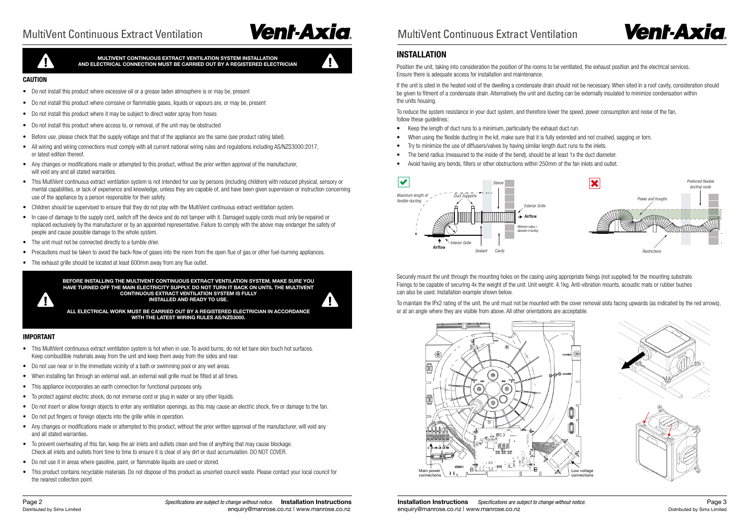## MultiVent Continuous Extract Ventilation **MultiVent Continuous Extract Ventilation**

• Do not install this product where excessive oil or a grease laden atmosphere is or may be, present

Page 2*Specifications are subject to change without notice.* **Installation Instructions** Distributed by Simx Limited enquiry@manrose.co.nz | www.manrose.co.nz



7 H X



**MULTIVENT CONTINUOUS EXTRACT VENTILATION SYSTEM INSTALLATION AND ELECTRICAL CONNECTION MUST BE CARRIED OUT BY A REGISTERED ELECTRICIAN**

**BEFORE INSTALLING THE MULTIVENT CONTINUOUS EXTRACT VENTILATION SYSTEM, MAKE SURE YOU HAVE TURNED OFF THE MAIN ELECTRICITY SUPPLY. DO NOT TURN IT BACK ON UNTIL THE MULTIVENT CONTINUOUS EXTRACT VENTILATION SYSTEM IS FULLY INSTALLED AND READY TO USE. ALL ELECTRICAL WORK MUST BE CARRIED OUT BY A REGISTERED ELECTRICIAN IN ACCORDANCE WITH THE LATEST WIRING RULES AS/NZS3000.**

**CAUTION**

• Do not install this product where corrosive or flammable gases, liquids or vapours are, or may be, present

• Before use, please check that the supply voltage and that of the appliance are the same (see product rating label).

• Do not install this product where it may be subject to direct water spray from hoses • Do not install this product where access to, or removal, of the unit may be obstructed

or latest edition thereof.

• Any changes or modifications made or attempted to this product, without the prior written approval of the manufacturer,

• Children should be supervised to ensure that they do not play with the MultiVent continuous extract ventilation system.

• All wiring and wiring connections must comply with all current national wiring rules and regulations including AS/NZS3000:2017,

will void any and all stated warranties.

• This MultiVent continuous extract ventilation system is not intended for use by persons (including children) with reduced physical, sensory or mental capabilities, or lack of experience and knowledge, unless they are capable of, and have been given supervision or instruction concerning

use of the appliance by a person responsible for their safety.

• In case of damage to the supply cord, switch off the device and do not tamper with it. Damaged supply cords must only be repaired or replaced exclusively by the manufacturer or by an appointed representative. Failure to comply with the above may endanger the safety of

- Keep the length of duct runs to a minimum, particularly the exhaust duct run.
- When using the flexible ducting in the kit, make sure that it is fully extended and not crushed, sagging or torn.
- Try to minimize the use of diffusers/valves by having similar length duct runs to the inlets.
- The bend radius (measured to the inside of the bend), should be at least 1x the duct diameter.
- Avoid having any bends, filters or other obstructions within 250mm of the fan inlets and outlet

people and cause possible damage to the whole system. • The unit must not be connected directly to a tumble drier.

• The exhaust grille should be located at least 600mm away from any flue outlet.

• Precautions must be taken to avoid the back-flow of gases into the room from the open flue of gas or other fuel-burning appliances.

• This MultiVent continuous extract ventilation system is hot when in use. To avoid burns, do not let bare skin touch hot surfaces

**IMPORTANT**

4

Keep combustible materials away from the unit and keep them away from the sides and rear.

• Do not use near or in the immediate vicinity of a bath or swimming pool or any wet areas. • When installing fan through an external wall, an external wall grille must be fitted at all times.

• This appliance incorporates an earth connection for functional purposes only.

• To protect against electric shock, do not immerse cord or plug in water or any other liquids.

• Do not insert or allow foreign objects to enter any ventilation openings, as this may cause an electric shock, fire or damage to the fan.

• Do not put fingers or foreign objects into the grille while in operation.





• Any changes or modifications made or attempted to this product, without the prior written approval of the manufacturer, will void any

and all stated warranties.

• To prevent overheating of this fan, keep the air inlets and outlets clean and free of anything that may cause blockage. Check all inlets and outlets from time to time to ensure it is clear of any dirt or dust accumulation. DO NOT COVER.

• Do not use it in areas where gasoline, paint, or flammable liquids are used or stored.

• This product contains recyclable materials. Do not dispose of this product as unsorted council waste. Please contact your local council for

the nearest collection point.

### **INSTALLATION**

Position the unit, taking into consideration the position of the rooms to be ventilated, the exhaust position and the electrical services. Ensure there is adequate access for installation and maintenance.

If the unit is sited in the heated void of the dwelling a condensate drain should not be necessary. When sited in a roof cavity, consideration should be given to fitment of a condensate drain. Alternatively the unit and ducting can be externally insulated to minimize condensation within the units housing.

To reduce the system resistance in your duct system, and therefore lower the speed, power consumption and noise of the fan, follow these guidelines:

Securely mount the unit through the mounting holes on the casing using appropriate fixings (not supplied) for the mounting substrate. Fixings to be capable of securing 4x the weight of the unit. Unit weight: 4.1kg. Anti-vibration mounts, acoustic mats or rubber bushes can also be used. Installation example shown below.

To maintain the IPx2 rating of the unit, the unit must not be mounted with the cover removal slots facing upwards (as indicated by the red arrows), or at an angle where they are visible from above. All other orientations are acceptable.





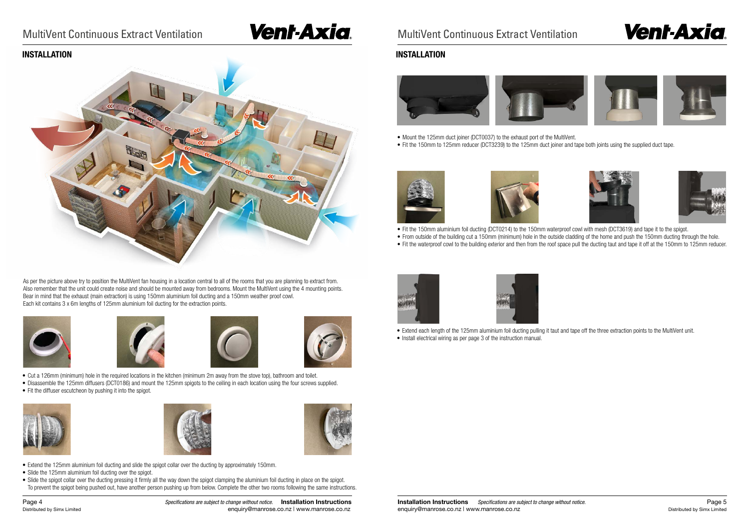## MultiVent Continuous Extract Ventilation **MultiVent Continuous Extract Ventilation**



As per the picture above try to position the MultiVent fan housing in a location central to all of the rooms that you are planning to extract from. Also remember that the unit could create noise and should be mounted away from bedrooms. Mount the MultiVent using the 4 mounting points. Bear in mind that the exhaust (main extraction) is using 150mm aluminium foil ducting and a 150mm weather proof cowl. Each kit contains 3 x 6m lengths of 125mm aluminium foil ducting for the extraction points.









- Slide the 125mm aluminium foil ducting over the spigot.
- Slide the spigot collar over the ducting pressing it firmly all the way down the spigot clamping the aluminium foil ducting in place on the spigot. To prevent the spigot being pushed out, have another person pushing up from below. Complete the other two rooms following the same instructions.

Page 4*Specifications are subject to change without notice.* **Installation Instructions** Distributed by Simx Limited **Exercise 2018** enquiry@manrose.co.nz | www.manrose.co.nz





• From outside of the building cut a 150mm (minimum) hole in the outside cladding of the home and push the 150mm ducting through the hole. • Fit the waterproof cowl to the building exterior and then from the roof space pull the ducting taut and tape it off at the 150mm to 125mm reducer.

- Cut a 126mm (minimum) hole in the required locations in the kitchen (minimum 2m away from the stove top), bathroom and toilet.
- Disassemble the 125mm diffusers (DCT0186) and mount the 125mm spigots to the ceiling in each location using the four screws supplied.
- Fit the diffuser escutcheon by pushing it into the spigot.





- Mount the 125mm duct joiner (DCT0037) to the exhaust port of the MultiVent.
- Fit the 150mm to 125mm reducer (DCT3239) to the 125mm duct joiner and tape both joints using the supplied duct tape.





- Fit the 150mm aluminium foil ducting (DCT0214) to the 150mm waterproof cowl with mesh (DCT3619) and tape it to the spigot.
- 





• Extend each length of the 125mm aluminium foil ducting pulling it taut and tape off the three extraction points to the MultiVent unit.

- 
- Install electrical wiring as per page 3 of the instruction manual.











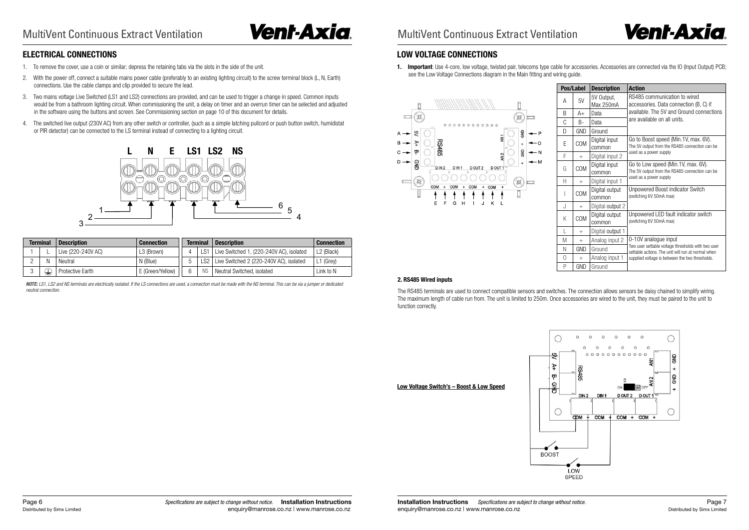#### **2. RS485 Wired inputs**

The RS485 terminals are used to connect compatible sensors and switches. The connection allows sensors be daisy chained to simplify wiring. The maximum length of cable run from. The unit is limited to 250m. Once accessories are wired to the unit, they must be paired to the unit to function correctly.





### **ELECTRICAL CONNECTIONS**

**1. Important**: Use 4-core, low voltage, twisted pair, telecoms type cable for accessories. Accessories are connected via the IO (Input Output) PCB; see the Low Voltage Connections diagram in the Main fitting and wiring guide.



- 1. To remove the cover, use a coin or similar; depress the retaining tabs via the slots in the side of the unit.
- 2. With the power off, connect a suitable mains power cable (preferably to an existing lighting circuit) to the screw terminal block (L, N, Earth) connections. Use the cable clamps and clip provided to secure the lead.
- 3. Two mains voltage Live Switched (LS1 and LS2) connections are provided, and can be used to trigger a change in speed. Common inputs would be from a bathroom lighting circuit. When commissioning the unit, a delay on timer and an overrun timer can be selected and adjusted in the software using the buttons and screen. See Commissioning section on page 10 of this document for details.
- 4. The switched live output (230V AC) from any other switch or controller, (such as a simple latching pullcord or push button switch, humidistat or PIR detector) can be connected to the LS terminal instead of connecting to a lighting circuit.

| <b>Terminal</b> | <b>Description</b>      | <b>Connection</b> |            | <b>Terminal</b> | <b>Description</b>                       | Connection  |
|-----------------|-------------------------|-------------------|------------|-----------------|------------------------------------------|-------------|
|                 | Live (220-240V AC)      | L3 (Brown)        |            | LS1             | Live Switched 1, (220-240V AC), isolated | L2 (Black)  |
| Ν               | Neutral                 | N (Blue)          | $\sqrt{2}$ | S2.             | Live Switched 2 (220-240V AC), isolated  | $L1$ (Grey) |
| 、士              | <b>Protective Earth</b> | E (Green/Yellow)  | հ          | <b>NS</b>       | Neutral Switched, isolated               | Link to N   |

*NOTE: LS1, LS2 and NS terminals are electrically isolated. If the LS connections are used, a connection must be made with the NS terminal. This can be via a jumper or dedicated neutral connection.*

### **LOW VOLTAGE CONNECTIONS**

|              | Pos/Label  | <b>Description</b>       | <b>Action</b>                                                                                                  |
|--------------|------------|--------------------------|----------------------------------------------------------------------------------------------------------------|
| A            | 5V         | 5V Output,<br>Max 250mA  | RS485 communication to wired<br>accessories. Data connection (B, C) if                                         |
| B            | A+         | Data                     | available. The 5V and Ground connections                                                                       |
| C            | B-         | Data                     | are available on all units.                                                                                    |
| D            | <b>GND</b> | Ground                   |                                                                                                                |
| E            | COM        | Digital input<br>common  | Go to Boost speed (Min.1V, max. 6V).<br>The 5V output from the RS485 connection can be                         |
| F            | $^{+}$     | Digital input 2          | used as a power supply                                                                                         |
| G            | COM        | Digital input<br>common  | Go to Low speed (Min.1V, max. 6V).<br>The 5V output from the RS485 connection can be<br>used as a power supply |
| Н            | $^{+}$     | Digital input 1          |                                                                                                                |
| I            | COM        | Digital output<br>common | Unpowered Boost indicator Switch<br>(switching 6V 50mA max)                                                    |
| J            | $^{+}$     | Digital output 2         |                                                                                                                |
| K            | COM        | Digital output<br>common | Unpowered LED fault indicator switch<br>(switching 6V 50mA max)                                                |
| $\mathbf{L}$ | $^{+}$     | Digital output 1         |                                                                                                                |
| M            | $^{+}$     | Analog input 2           | 0-10V analogue input                                                                                           |
| N            | GND        | Ground                   | Two user settable voltage thresholds with two user<br>settable actions. The unit will run at normal when       |
| 0            | $^{+}$     | Analog input 1           | supplied voltage is between the two thresholds.                                                                |
| P            | GND        | Ground                   |                                                                                                                |



**Low Voltage Switch's – Boost & Low Speed**



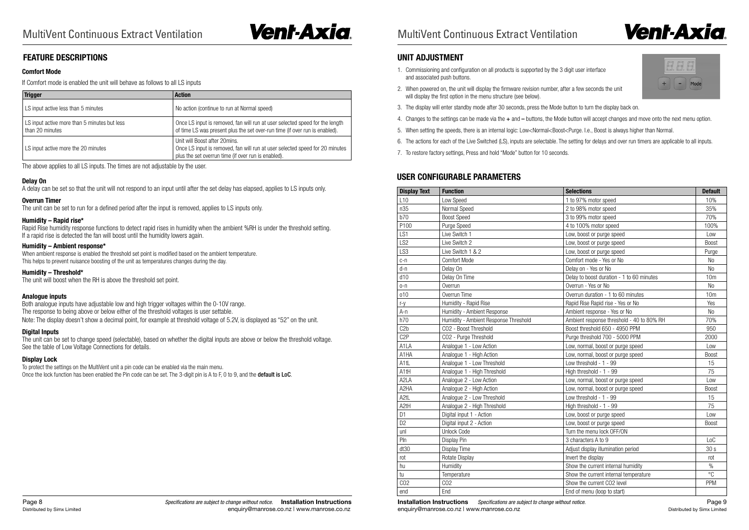**Installation Instructions** *Specifications are subject to change without notice.* Page 9 **Page 9** enquiry@manrose.co.nz | www.manrose.co.nz | www.manrose.co.nz | compared by Simx Limited by Simx Limited by Simx Limited

# **Vent-Axia**

Mode

### **FEATURE DESCRIPTIONS**

#### **Comfort Mode**

If Comfort mode is enabled the unit will behave as follows to all LS inputs

The above applies to all LS inputs. The times are not adjustable by the user.

#### **Delay On**

A delay can be set so that the unit will not respond to an input until after the set delay has elapsed, applies to LS inputs only.

#### **Overrun Timer**

The unit can be set to run for a defined period after the input is removed, applies to LS inputs only.

#### **Humidity – Rapid rise\***

To protect the settings on the MultiVent unit a pin code can be enabled via the main menu. Once the lock function has been enabled the Pin code can be set. The 3-digit pin is A to F, 0 to 9, and the **default is LoC**.

Rapid Rise humidity response functions to detect rapid rises in humidity when the ambient %RH is under the threshold setting. If a rapid rise is detected the fan will boost until the humidity lowers again.

#### **Humidity – Ambient response\***

When ambient response is enabled the threshold set point is modified based on the ambient temperature. This helps to prevent nuisance boosting of the unit as temperatures changes during the day.

#### **Humidity – Threshold\***

The unit will boost when the RH is above the threshold set point.

#### **Analogue inputs**

Both analogue inputs have adjustable low and high trigger voltages within the 0-10V range. The response to being above or below either of the threshold voltages is user settable. Note: The display doesn't show a decimal point, for example at threshold voltage of 5.2V, is displayed as "52" on the unit.

#### **Digital Inputs**

The unit can be set to change speed (selectable), based on whether the digital inputs are above or below the threshold voltage. See the table of Low Voltage Connections for details.

#### **Display Lock**

| <b>Trigger</b>                                                  | <b>Action</b>                                                                                                                                                        |
|-----------------------------------------------------------------|----------------------------------------------------------------------------------------------------------------------------------------------------------------------|
| LS input active less than 5 minutes                             | No action (continue to run at Normal speed)                                                                                                                          |
| LS input active more than 5 minutes but less<br>than 20 minutes | Once LS input is removed, fan will run at user selected speed for the length<br>of time LS was present plus the set over-run time (if over run is enabled).          |
| LS input active more the 20 minutes                             | Unit will Boost after 20mins.<br>Once LS input is removed, fan will run at user selected speed for 20 minutes<br>plus the set overrun time (if over run is enabled). |

### **UNIT ADJUSTMENT**

- 1. Commissioning and configuration on all products is supported by the 3 digit user interface and associated push buttons.
- 2. When powered on, the unit will display the firmware revision number, after a few seconds the unit will display the first option in the menu structure (see below).
- 3. The display will enter standby mode after 30 seconds, press the Mode button to turn the display back on.
- 
- 5. When setting the speeds, there is an internal logic: Low<Normal<Boost<Purge. I.e., Boost is always higher than Normal.
- 
- 7. To restore factory settings, Press and hold "Mode" button for 10 seconds.

4. Changes to the settings can be made via the + and – buttons, the Mode button will accept changes and move onto the next menu option.

6. The actions for each of the Live Switched (LS), inputs are selectable. The setting for delays and over run timers are applicable to all inputs.

| <b>Display Text</b> | <b>Function</b>                       | <b>Selections</b>                         | <b>Default</b>  |
|---------------------|---------------------------------------|-------------------------------------------|-----------------|
| L <sub>10</sub>     | Low Speed                             | 1 to 97% motor speed                      | 10%             |
| n35                 | Normal Speed                          | 2 to 98% motor speed                      | 35%             |
| b70                 | <b>Boost Speed</b>                    | 3 to 99% motor speed                      | 70%             |
| P100                | Purge Speed                           | 4 to 100% motor speed                     | 100%            |
| LS1                 | Live Switch 1                         | Low, boost or purge speed                 | Low             |
| LS <sub>2</sub>     | Live Switch 2                         | Low, boost or purge speed                 | <b>Boost</b>    |
| LS3                 | Live Switch 1 & 2                     | Low, boost or purge speed                 | Purge           |
| c-n                 | <b>Comfort Mode</b>                   | Comfort mode - Yes or No                  | No              |
| d-n                 | Delay On                              | Delay on - Yes or No                      | N <sub>o</sub>  |
| d10                 | Delay On Time                         | Delay to boost duration - 1 to 60 minutes | 10 <sub>m</sub> |
| $0 - n$             | Overrun                               | Overrun - Yes or No                       | N <sub>0</sub>  |
| 010                 | Overrun Time                          | Overrun duration - 1 to 60 minutes        | 10 <sub>m</sub> |
| $r-y$               | Humidity - Rapid Rise                 | Rapid Rise Rapid rise - Yes or No         | Yes             |
| A-n                 | Humidity - Ambient Response           | Ambient response - Yes or No              | N <sub>0</sub>  |
| h70                 | Humidity - Ambient Response Threshold | Ambient response threshold - 40 to 80% RH | 70%             |
| C2b                 | CO2 - Boost Threshold                 | Boost threshold 650 - 4950 PPM            | 950             |
| C <sub>2</sub> P    | CO2 - Purge Threshold                 | Purge threshold 700 - 5000 PPM            | 2000            |
| A1LA                | Analogue 1 - Low Action               | Low, normal, boost or purge speed         | Low             |
| A1HA                | Analogue 1 - High Action              | Low, normal, boost or purge speed         | <b>Boost</b>    |
| A <sub>1</sub> tL   | Analogue 1 - Low Threshold            | Low threshold - 1 - 99                    | 15              |
| A1tH                | Analogue 1 - High Threshold           | High threshold - 1 - 99                   | 75              |
| A2LA                | Analogue 2 - Low Action               | Low, normal, boost or purge speed         | Low             |
| A <sub>2</sub> HA   | Analogue 2 - High Action              | Low, normal, boost or purge speed         | <b>Boost</b>    |
| A <sub>2tL</sub>    | Analogue 2 - Low Threshold            | Low threshold - 1 - 99                    | 15              |
| A <sub>2tH</sub>    | Analogue 2 - High Threshold           | High threshold - 1 - 99                   | 75              |
| D1                  | Digital input 1 - Action              | Low, boost or purge speed                 | Low             |
| D <sub>2</sub>      | Digital input 2 - Action              | Low, boost or purge speed                 | <b>Boost</b>    |
| unl                 | <b>Unlock Code</b>                    | Turn the menu lock OFF/ON                 |                 |
| Pln                 | Display Pin                           | 3 characters A to 9                       | LoC             |
| dt30                | <b>Display Time</b>                   | Adjust display illumination period        | 30 <sub>s</sub> |
| rot                 | Rotate Display                        | Invert the display                        | rot             |
| hu                  | Humidity                              | Show the current internal humidity        | $\%$            |
| tu                  | Temperature                           | Show the current internal temperature     | $\overline{C}$  |
| CO <sub>2</sub>     | CO <sub>2</sub>                       | Show the current CO2 level                | PPM             |
| end                 | End                                   | End of menu (loop to start)               |                 |

### **USER CONFIGURABLE PARAMETERS**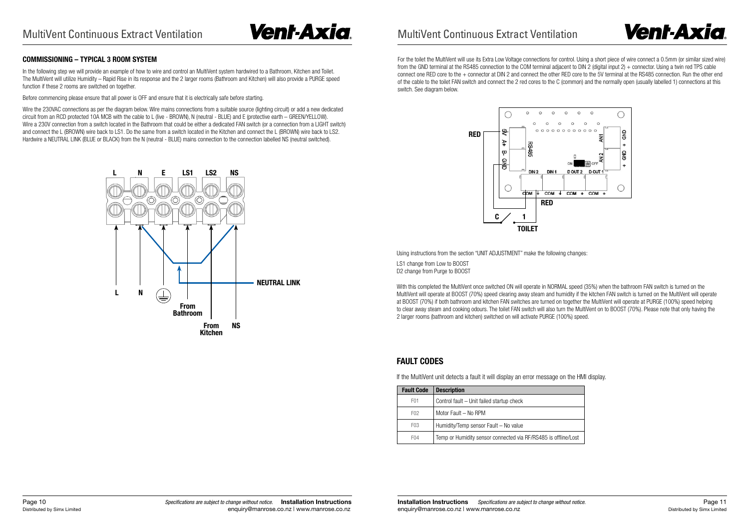



Using instructions from the section "UNIT ADJUSTMENT" make the following changes:

LS1 change from Low to BOOST D2 change from Purge to BOOST

With this completed the MultiVent once switched ON will operate in NORMAL speed (35%) when the bathroom FAN switch is turned on the MultiVent will operate at BOOST (70%) speed clearing away steam and humidity if the kitchen FAN switch is turned on the MultiVent will operate at BOOST (70%) if both bathroom and kitchen FAN switches are turned on together the MultiVent will operate at PURGE (100%) speed helping to clear away steam and cooking odours. The toilet FAN switch will also turn the MultiVent on to BOOST (70%). Please note that only having the 2 larger rooms (bathroom and kitchen) switched on will activate PURGE (100%) speed.

### **FAULT CODES**

If the MultiVent unit detects a fault it will display an error message on the HMI display.

| <b>Fault Code</b> | <b>Description</b>                                             |
|-------------------|----------------------------------------------------------------|
| F <sub>01</sub>   | Control fault - Unit failed startup check                      |
| F <sub>02</sub>   | Motor Fault - No RPM                                           |
| F <sub>03</sub>   | Humidity/Temp sensor Fault - No value                          |
| F <sub>04</sub>   | Temp or Humidity sensor connected via RF/RS485 is offline/Lost |
|                   |                                                                |



### **COMMISSIONING – TYPICAL 3 ROOM SYSTEM**

In the following step we will provide an example of how to wire and control an MultiVent system hardwired to a Bathroom, Kitchen and Toilet. The MultiVent will utilize Humidity – Rapid Rise in its response and the 2 larger rooms (Bathroom and Kitchen) will also provide a PURGE speed function if these 2 rooms are switched on together.

Before commencing please ensure that all power is OFF and ensure that it is electrically safe before starting.

Wire the 230VAC connections as per the diagram below. Wire mains connections from a suitable source (lighting circuit) or add a new dedicated circuit from an RCD protected 10A MCB with the cable to L (live - BROWN), N (neutral - BLUE) and E (protective earth – GREEN/YELLOW). Wire a 230V connection from a switch located in the Bathroom that could be either a dedicated FAN switch (or a connection from a LIGHT switch) and connect the L (BROWN) wire back to LS1. Do the same from a switch located in the Kitchen and connect the L (BROWN) wire back to LS2. Hardwire a NEUTRAL LINK (BLUE or BLACK) from the N (neutral - BLUE) mains connection to the connection labelled NS (neutral switched).



For the toilet the MultiVent will use its Extra Low Voltage connections for control. Using a short piece of wire connect a 0.5mm (or similar sized wire) from the GND terminal at the RS485 connection to the COM terminal adjacent to DIN 2 (digital input 2) + connector. Using a twin red TPS cable connect one RED core to the + connector at DIN 2 and connect the other RED core to the 5V terminal at the RS485 connection. Run the other end of the cable to the toilet FAN switch and connect the 2 red cores to the C (common) and the normally open (usually labelled 1) connections at this switch. See diagram below.